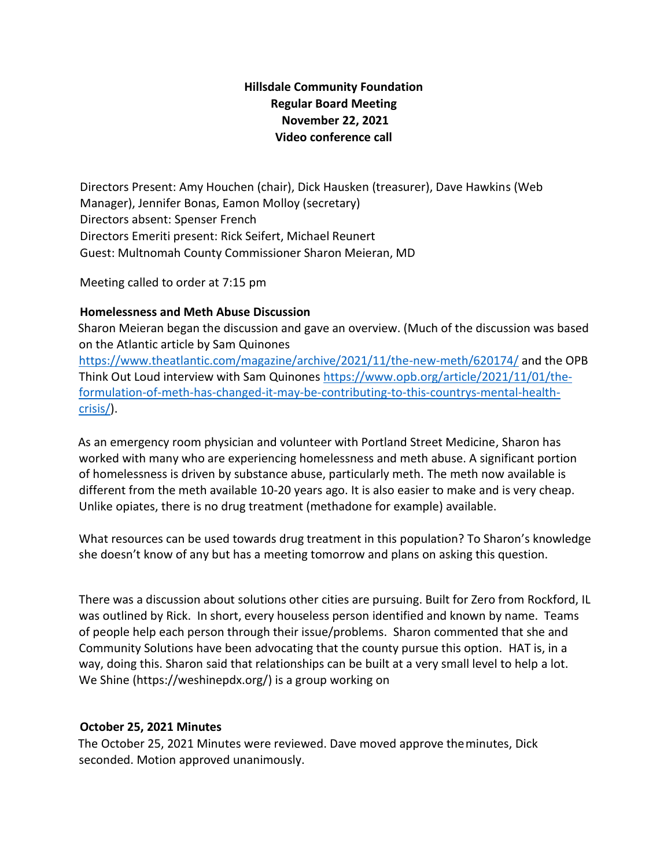# **Hillsdale Community Foundation Regular Board Meeting November 22, 2021 Video conference call**

Directors Present: Amy Houchen (chair), Dick Hausken (treasurer), Dave Hawkins (Web Manager), Jennifer Bonas, Eamon Molloy (secretary) Directors absent: Spenser French Directors Emeriti present: Rick Seifert, Michael Reunert Guest: Multnomah County Commissioner Sharon Meieran, MD

Meeting called to order at 7:15 pm

## **Homelessness and Meth Abuse Discussion**

Sharon Meieran began the discussion and gave an overview. (Much of the discussion was based on the Atlantic article by Sam Quinones <https://www.theatlantic.com/magazine/archive/2021/11/the-new-meth/620174/> and the OPB Think Out Loud interview with Sam Quinones [https://www.opb.org/article/2021/11/01/the](https://www.opb.org/article/2021/11/01/the-formulation-of-meth-has-changed-it-may-be-contributing-to-this-countrys-mental-health-crisis/)[formulation-of-meth-has-changed-it-may-be-contributing-to-this-countrys-mental-health](https://www.opb.org/article/2021/11/01/the-formulation-of-meth-has-changed-it-may-be-contributing-to-this-countrys-mental-health-crisis/)[crisis/\)](https://www.opb.org/article/2021/11/01/the-formulation-of-meth-has-changed-it-may-be-contributing-to-this-countrys-mental-health-crisis/).

As an emergency room physician and volunteer with Portland Street Medicine, Sharon has worked with many who are experiencing homelessness and meth abuse. A significant portion of homelessness is driven by substance abuse, particularly meth. The meth now available is different from the meth available 10-20 years ago. It is also easier to make and is very cheap. Unlike opiates, there is no drug treatment (methadone for example) available.

What resources can be used towards drug treatment in this population? To Sharon's knowledge she doesn't know of any but has a meeting tomorrow and plans on asking this question.

There was a discussion about solutions other cities are pursuing. Built for Zero from Rockford, IL was outlined by Rick. In short, every houseless person identified and known by name. Teams of people help each person through their issue/problems. Sharon commented that she and Community Solutions have been advocating that the county pursue this option. HAT is, in a way, doing this. Sharon said that relationships can be built at a very small level to help a lot. We Shine (https://weshinepdx.org/) is a group working on

### **October 25, 2021 Minutes**

The October 25, 2021 Minutes were reviewed. Dave moved approve theminutes, Dick seconded. Motion approved unanimously.